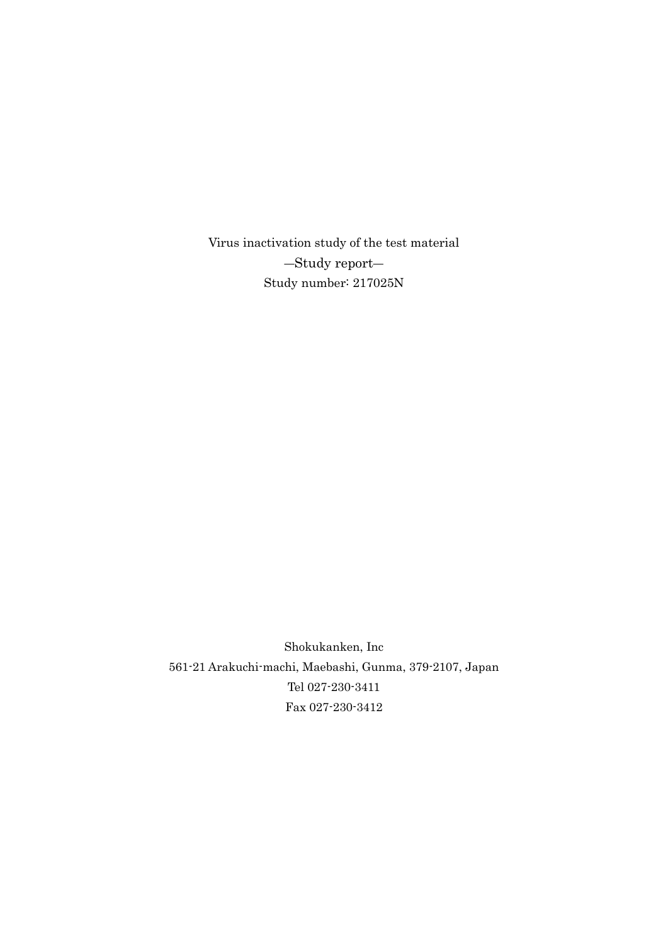Virus inactivation study of the test material ―Study report― Study number: 217025N

Shokukanken, Inc 561-21 Arakuchi-machi, Maebashi, Gunma, 379-2107, Japan Tel 027-230-3411 Fax 027-230-3412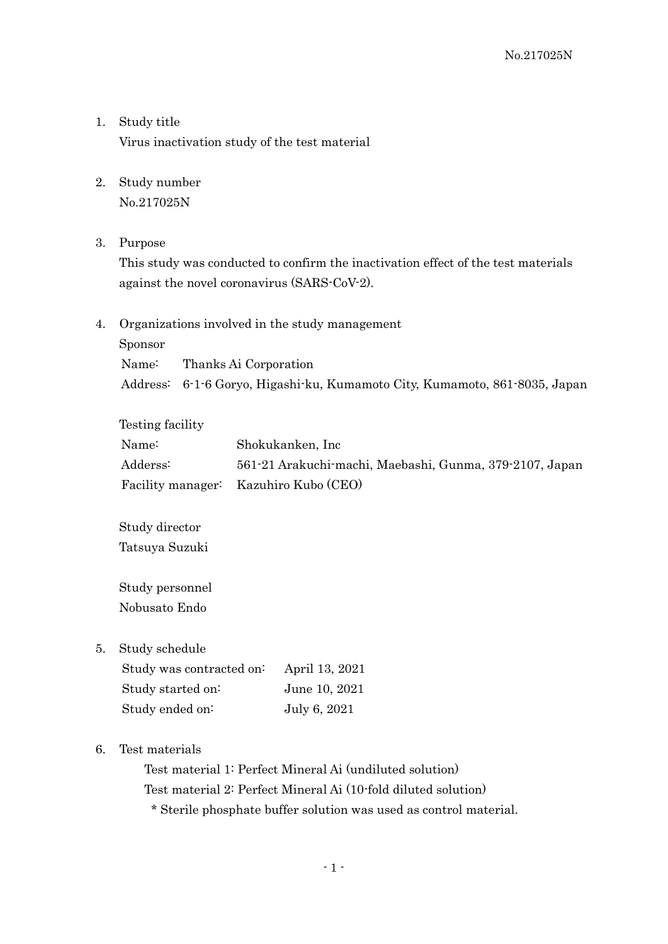- 1. Study title Virus inactivation study of the test material
- 2. Study number No.217025N
- 3. Purpose

This study was conducted to confirm the inactivation effect of the test materials against the novel coronavirus (SARS-CoV-2).

4. Organizations involved in the study management Sponsor Name: Thanks Ai Corporation

Address: 6-1-6 Goryo, Higashi-ku, Kumamoto City, Kumamoto, 861-8035, Japan

| Testing facility |                                                         |
|------------------|---------------------------------------------------------|
| Name:            | Shokukanken, Inc                                        |
| Adderss:         | 561-21 Arakuchi-machi, Maebashi, Gunma, 379-2107, Japan |
|                  | Facility manager: Kazuhiro Kubo (CEO)                   |

Study director Tatsuya Suzuki

Study personnel Nobusato Endo

5. Study schedule

| Study was contracted on: | April 13, 2021 |
|--------------------------|----------------|
| Study started on:        | June 10, 2021  |
| Study ended on:          | July 6, 2021   |

6. Test materials

Test material 1: Perfect Mineral Ai (undiluted solution) Test material 2: Perfect Mineral Ai (10-fold diluted solution) \* Sterile phosphate buffer solution was used as control material.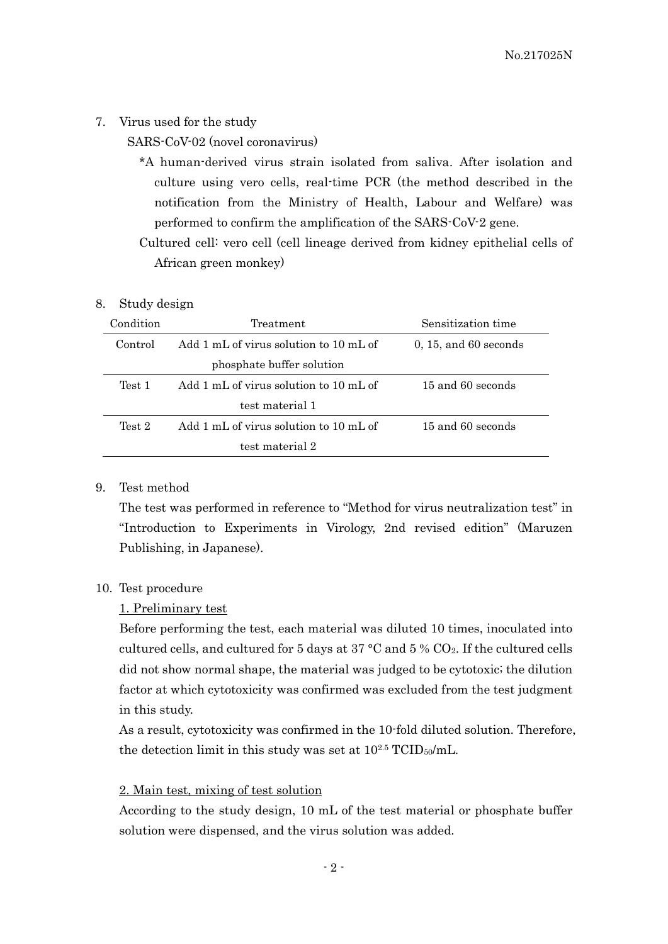7. Virus used for the study

SARS-CoV-02 (novel coronavirus)

\*A human-derived virus strain isolated from saliva. After isolation and culture using vero cells, real-time PCR (the method described in the notification from the Ministry of Health, Labour and Welfare) was performed to confirm the amplification of the SARS-CoV-2 gene.

Cultured cell: vero cell (cell lineage derived from kidney epithelial cells of African green monkey)

#### 8. Study design

| Condition | Treatment                              | Sensitization time        |  |
|-----------|----------------------------------------|---------------------------|--|
| Control   | Add 1 mL of virus solution to 10 mL of | $0, 15,$ and $60$ seconds |  |
|           | phosphate buffer solution              |                           |  |
| Test 1    | Add 1 mL of virus solution to 10 mL of | $15$ and $60$ seconds     |  |
|           | test material 1                        |                           |  |
| Test 2    | Add 1 mL of virus solution to 10 mL of | 15 and 60 seconds         |  |
|           | test material 2                        |                           |  |

## 9. Test method

The test was performed in reference to "Method for virus neutralization test" in "Introduction to Experiments in Virology, 2nd revised edition" (Maruzen Publishing, in Japanese).

#### 10. Test procedure

#### 1. Preliminary test

Before performing the test, each material was diluted 10 times, inoculated into cultured cells, and cultured for 5 days at 37 °C and 5 % CO2. If the cultured cells did not show normal shape, the material was judged to be cytotoxic; the dilution factor at which cytotoxicity was confirmed was excluded from the test judgment in this study.

As a result, cytotoxicity was confirmed in the 10-fold diluted solution. Therefore, the detection limit in this study was set at  $10^{2.5}$  TCID<sub>50</sub>/mL.

#### 2. Main test, mixing of test solution

According to the study design, 10 mL of the test material or phosphate buffer solution were dispensed, and the virus solution was added.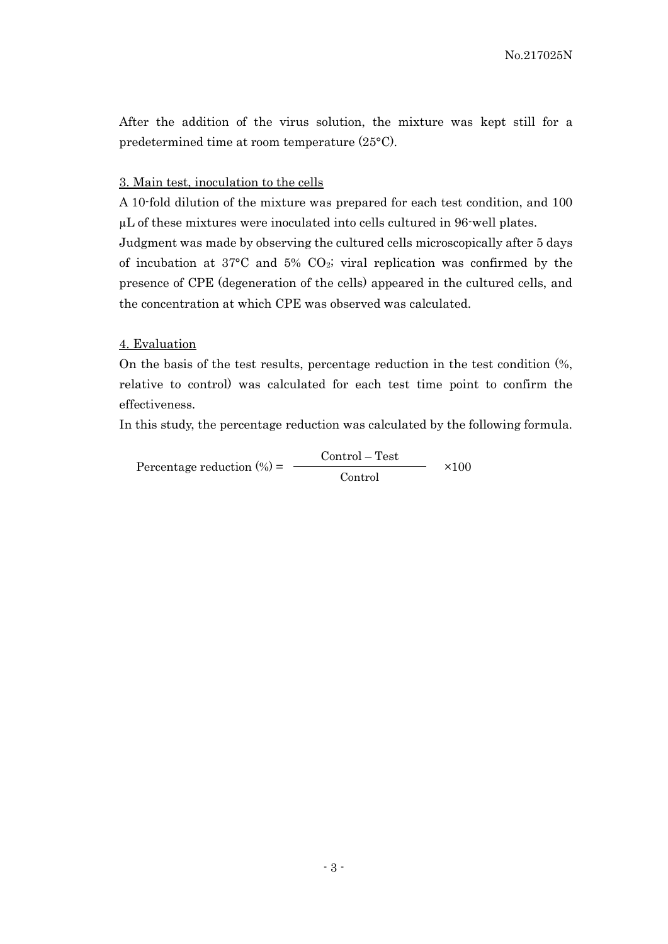After the addition of the virus solution, the mixture was kept still for a predetermined time at room temperature (25°C).

#### 3. Main test, inoculation to the cells

A 10-fold dilution of the mixture was prepared for each test condition, and 100 µL of these mixtures were inoculated into cells cultured in 96-well plates. Judgment was made by observing the cultured cells microscopically after 5 days

of incubation at  $37^{\circ}$ C and  $5\%$  CO<sub>2</sub>; viral replication was confirmed by the presence of CPE (degeneration of the cells) appeared in the cultured cells, and the concentration at which CPE was observed was calculated.

#### 4. Evaluation

On the basis of the test results, percentage reduction in the test condition (%, relative to control) was calculated for each test time point to confirm the effectiveness.

In this study, the percentage reduction was calculated by the following formula.

Percentage reduction  $(\%)$  = Control – Test ×100 Control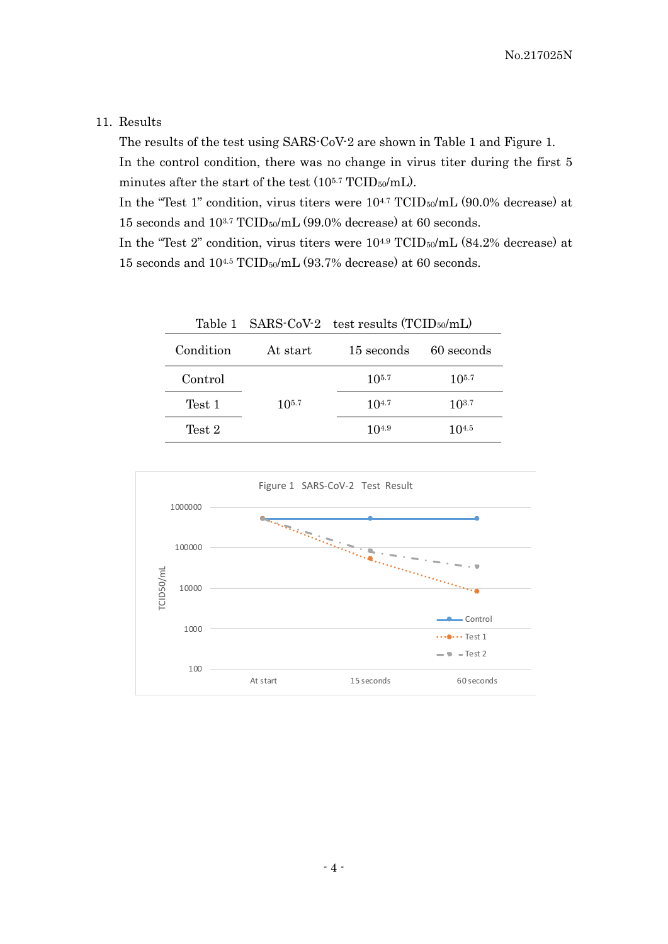## 11. Results

The results of the test using SARS-CoV-2 are shown in Table 1 and Figure 1. In the control condition, there was no change in virus titer during the first 5 minutes after the start of the test  $(10^{5.7} \text{TCID}_{50} / \text{mL})$ .

In the "Test 1" condition, virus titers were  $10^{4.7}$  TCID<sub>50</sub>/mL (90.0% decrease) at 15 seconds and 103.7 TCID50/mL (99.0% decrease) at 60 seconds.

In the "Test 2" condition, virus titers were  $10^{4.9}$  TCID<sub>50</sub>/mL (84.2% decrease) at 15 seconds and 104.5 TCID50/mL (93.7% decrease) at 60 seconds.

|           |            | Table 1 SARS-CoV-2 test results (TCID <sub>50</sub> /mL) |                           |
|-----------|------------|----------------------------------------------------------|---------------------------|
| Condition | At start   | 15 seconds                                               | 60 seconds                |
| Control   |            | $10^{5.7}$                                               | $10^{5.7}$                |
| Test 1    | $10^{5.7}$ | $10^{4.7}$                                               | $10^{3.7}$                |
| Test 2    |            | $10^{4.9}$                                               | 1 $\Omega$ <sup>4.5</sup> |